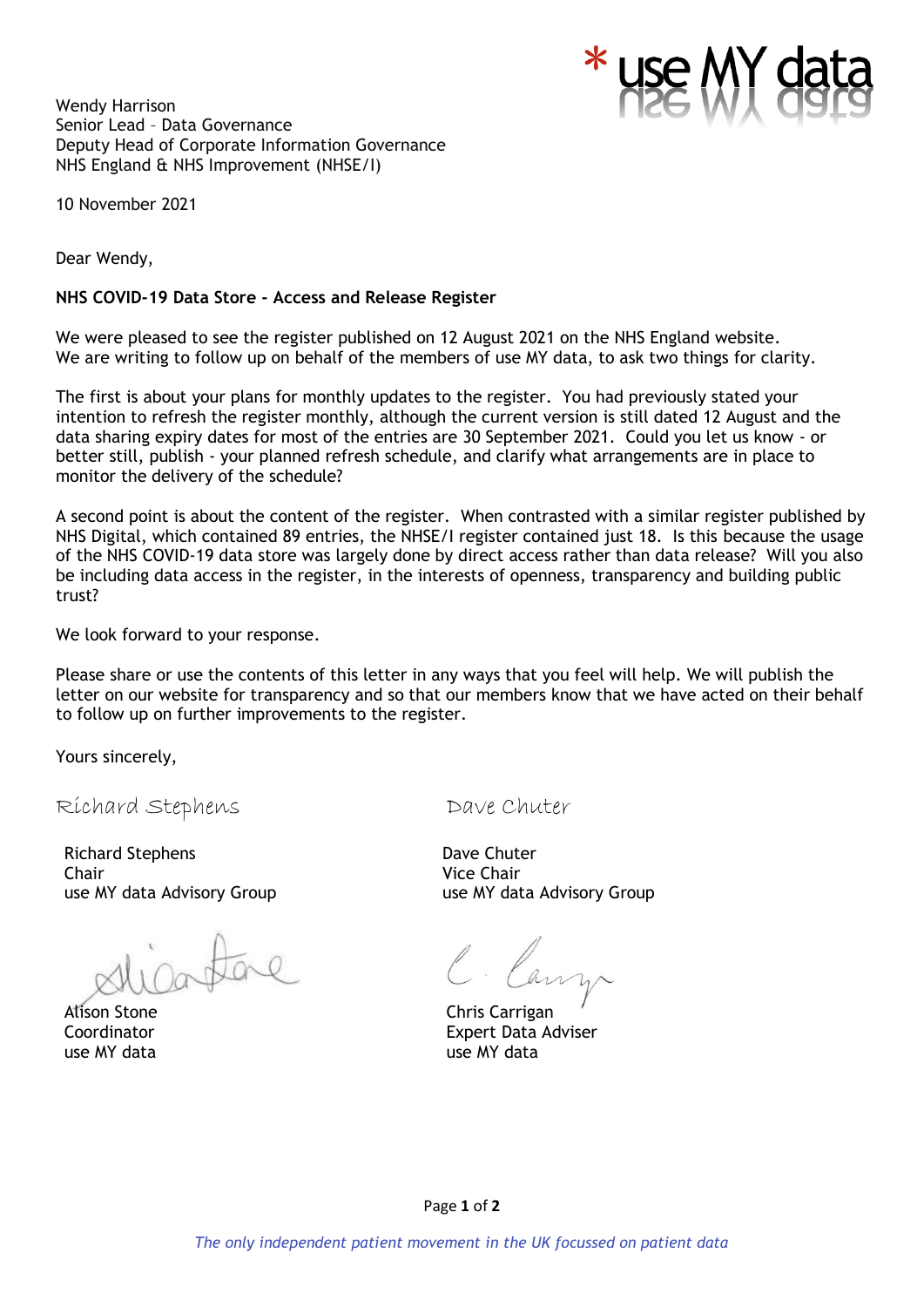Wendy Harrison Senior Lead – Data Governance Deputy Head of Corporate Information Governance NHS England & NHS Improvement (NHSE/I)



10 November 2021

Dear Wendy,

#### **NHS COVID-19 Data Store - Access and Release Register**

We were pleased to see the register published on 12 August 2021 on the NHS England website. We are writing to follow up on behalf of the members of use MY data, to ask two things for clarity.

The first is about your plans for monthly updates to the register. You had previously stated your intention to refresh the register monthly, although the current version is still dated 12 August and the data sharing expiry dates for most of the entries are 30 September 2021. Could you let us know - or better still, publish - your planned refresh schedule, and clarify what arrangements are in place to monitor the delivery of the schedule?

A second point is about the content of the register. When contrasted with a similar register published by NHS Digital, which contained 89 entries, the NHSE/I register contained just 18. Is this because the usage of the NHS COVID-19 data store was largely done by direct access rather than data release? Will you also be including data access in the register, in the interests of openness, transparency and building public trust?

We look forward to your response.

Please share or use the contents of this letter in any ways that you feel will help. We will publish the letter on our website for transparency and so that our members know that we have acted on their behalf to follow up on further improvements to the register.

Yours sincerely,

Richard Stephens Dave Chuter

Richard Stephens Chair use MY data Advisory Group

Alison Stone Coordinator use MY data

Dave Chuter Vice Chair use MY data Advisory Group

Chris Carrigan Expert Data Adviser use MY data